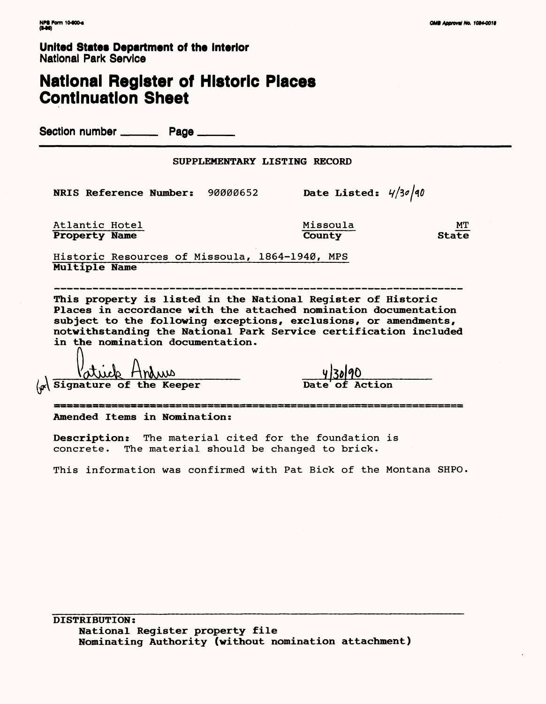**United States Department of the Interior** National Park Service

# **National Register of Historic Places Continuation Sheet**

Section number \_\_\_\_\_\_\_\_\_ Page \_\_

**NRIS Reference Number:** 90000652 **Date Listed:**  $4/30/40$ 

Atlantic Hotel Missoula Missoula MT<br>
Property Name County State **Property Name** 

Historic Resources of Missoula, 1864-1940, MPS **Multiple Name**

**This property is listed in the National Register of Historic Places in accordance with the attached nomination documentation subject to the following exceptions, exclusions, or amendments, notwithstanding the National Park Service certification included in the nomination documentation.**

 $\langle \mathcal{A} \rangle$  Signature of the Keeper

**Amended Items in Nomination:**

**Description:** The material cited for the foundation is concrete. The material should be changed to brick.

This information was confirmed with Pat Bick of the Montana SHPO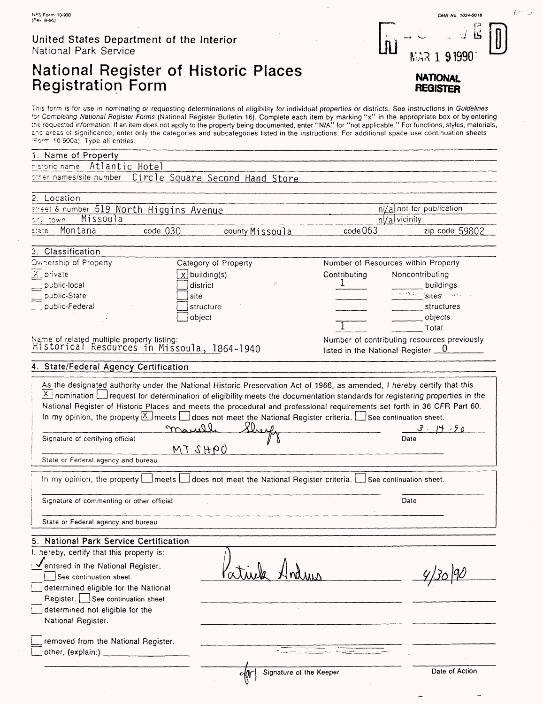#### United States Department of the Interior National Park Service

# National Register of Historic Places Registration Form

This form is for use in nominating or requesting determinations of eligibility for individual properties or districts. See instructions in *Guidelines*<br>for Completing National Register Forms (National Register Bulletin 16) the requested information. If an item does not apply to the property being documented, enter "N/A" for "not applicable." For functions, styles, materials, and areas of significance, enter only the categories and subcategories listed in the instructions. For additional space use continuation sheets •'-Cr'Ti 10-900a). Type all entries.

| 1. Name of Property                                                                                                                                                                                 |                                                                                                                                                                                                                                                                                                                                                                                                                                                         |                                                                                                                                                                                                                                |                                     |  |  |
|-----------------------------------------------------------------------------------------------------------------------------------------------------------------------------------------------------|---------------------------------------------------------------------------------------------------------------------------------------------------------------------------------------------------------------------------------------------------------------------------------------------------------------------------------------------------------------------------------------------------------------------------------------------------------|--------------------------------------------------------------------------------------------------------------------------------------------------------------------------------------------------------------------------------|-------------------------------------|--|--|
| Atlantic Hotel<br>historic name                                                                                                                                                                     |                                                                                                                                                                                                                                                                                                                                                                                                                                                         |                                                                                                                                                                                                                                |                                     |  |  |
| other names/site number                                                                                                                                                                             | Circle Square Second Hand Store                                                                                                                                                                                                                                                                                                                                                                                                                         |                                                                                                                                                                                                                                |                                     |  |  |
| 2. Location                                                                                                                                                                                         |                                                                                                                                                                                                                                                                                                                                                                                                                                                         |                                                                                                                                                                                                                                |                                     |  |  |
| street & number 519 North Higgins Avenue                                                                                                                                                            |                                                                                                                                                                                                                                                                                                                                                                                                                                                         |                                                                                                                                                                                                                                | $n \times a$ not for publication    |  |  |
| Missoula<br>sity, town.                                                                                                                                                                             |                                                                                                                                                                                                                                                                                                                                                                                                                                                         |                                                                                                                                                                                                                                | n/a vicinity                        |  |  |
| Montana<br>code 030<br>state.                                                                                                                                                                       | county Missoula                                                                                                                                                                                                                                                                                                                                                                                                                                         | code063                                                                                                                                                                                                                        | zip code 59802                      |  |  |
| 3. Classification                                                                                                                                                                                   |                                                                                                                                                                                                                                                                                                                                                                                                                                                         |                                                                                                                                                                                                                                |                                     |  |  |
| Ownership of Property                                                                                                                                                                               | Category of Property                                                                                                                                                                                                                                                                                                                                                                                                                                    |                                                                                                                                                                                                                                | Number of Resources within Property |  |  |
| $\frac{X}{X}$ private                                                                                                                                                                               | $x$ building(s)                                                                                                                                                                                                                                                                                                                                                                                                                                         | Contributing                                                                                                                                                                                                                   | Noncontributing                     |  |  |
| public-local                                                                                                                                                                                        | district                                                                                                                                                                                                                                                                                                                                                                                                                                                |                                                                                                                                                                                                                                | buildings                           |  |  |
| public-State                                                                                                                                                                                        | site                                                                                                                                                                                                                                                                                                                                                                                                                                                    |                                                                                                                                                                                                                                | Siles                               |  |  |
| public-Federal                                                                                                                                                                                      | structure                                                                                                                                                                                                                                                                                                                                                                                                                                               | structures                                                                                                                                                                                                                     |                                     |  |  |
|                                                                                                                                                                                                     | object                                                                                                                                                                                                                                                                                                                                                                                                                                                  |                                                                                                                                                                                                                                | objects                             |  |  |
|                                                                                                                                                                                                     |                                                                                                                                                                                                                                                                                                                                                                                                                                                         |                                                                                                                                                                                                                                | Total                               |  |  |
|                                                                                                                                                                                                     |                                                                                                                                                                                                                                                                                                                                                                                                                                                         |                                                                                                                                                                                                                                |                                     |  |  |
|                                                                                                                                                                                                     | Number of contributing resources previously<br>Name of related multiple property listing:<br>Historical Resources in Missoula, 1864–1940<br>listed in the National Register $\qquad 0$                                                                                                                                                                                                                                                                  |                                                                                                                                                                                                                                |                                     |  |  |
| 4. State/Federal Agency Certification                                                                                                                                                               |                                                                                                                                                                                                                                                                                                                                                                                                                                                         |                                                                                                                                                                                                                                |                                     |  |  |
|                                                                                                                                                                                                     | As the designated authority under the National Historic Preservation Act of 1966, as amended, I hereby certify that this                                                                                                                                                                                                                                                                                                                                |                                                                                                                                                                                                                                |                                     |  |  |
| Signature of certifying official<br>State or Federal agency and bureau                                                                                                                              | A inomination $\Box$ request for determination of eligibility meets the documentation standards for registering properties in the<br>National Register of Historic Places and meets the procedural and professional requirements set forth in 36 CFR Part 60.<br>In my opinion, the property $\boxed{\times}$ meets $\boxed{\_\}$ does not meet the National Register criteria. $\boxed{\_\}$ See continuation sheet.<br>$20_{\sim}$<br>mauel<br>09H2TM |                                                                                                                                                                                                                                | $3 - 14 - 9$<br>Date                |  |  |
|                                                                                                                                                                                                     | In my opinion, the property   meets   does not meet the National Register criteria.                                                                                                                                                                                                                                                                                                                                                                     |                                                                                                                                                                                                                                | See continuation sheet.             |  |  |
| Signature of commenting or other official<br>Date                                                                                                                                                   |                                                                                                                                                                                                                                                                                                                                                                                                                                                         |                                                                                                                                                                                                                                |                                     |  |  |
|                                                                                                                                                                                                     |                                                                                                                                                                                                                                                                                                                                                                                                                                                         |                                                                                                                                                                                                                                |                                     |  |  |
| State or Federal agency and bureau                                                                                                                                                                  |                                                                                                                                                                                                                                                                                                                                                                                                                                                         |                                                                                                                                                                                                                                |                                     |  |  |
| 5. National Park Service Certification                                                                                                                                                              |                                                                                                                                                                                                                                                                                                                                                                                                                                                         |                                                                                                                                                                                                                                |                                     |  |  |
| I, hereby, certify that this property is:                                                                                                                                                           |                                                                                                                                                                                                                                                                                                                                                                                                                                                         |                                                                                                                                                                                                                                |                                     |  |  |
| Centered in the National Register.<br>See continuation sheet.<br>determined eligible for the National<br>Register. See continuation sheet.<br>determined not eligible for the<br>National Register. |                                                                                                                                                                                                                                                                                                                                                                                                                                                         |                                                                                                                                                                                                                                |                                     |  |  |
| removed from the National Register.                                                                                                                                                                 |                                                                                                                                                                                                                                                                                                                                                                                                                                                         | teachd anns the control of the second second second second second second second second second second second second second second second second second second second second second second second second second second second se |                                     |  |  |
|                                                                                                                                                                                                     | Signature of the Keeper<br>olûr                                                                                                                                                                                                                                                                                                                                                                                                                         |                                                                                                                                                                                                                                | Date of Action                      |  |  |

In) MAR 1 91990

**OMfi No. 1024-0018**

Ë

 $\acute{\epsilon}$ 

**NATIONAL REGISTER**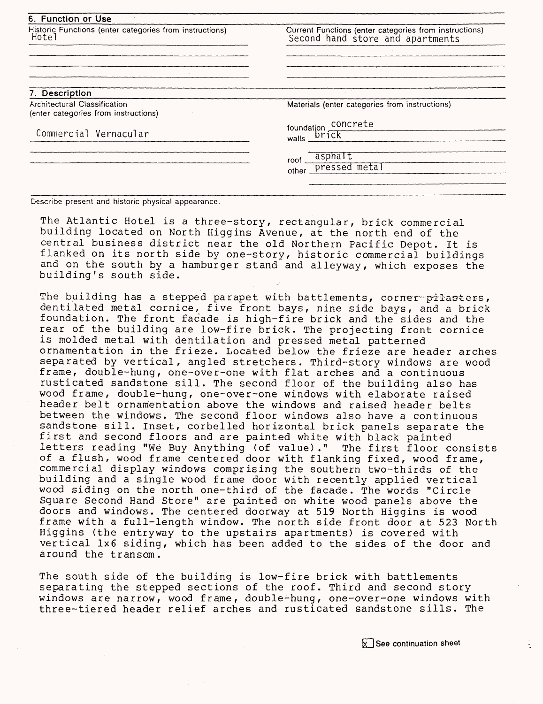| Historic Functions (enter categories from instructions)                     | Current Functions (enter categories from instructions) |  |  |  |  |
|-----------------------------------------------------------------------------|--------------------------------------------------------|--|--|--|--|
| Hotel                                                                       | Second hand store and apartments                       |  |  |  |  |
|                                                                             |                                                        |  |  |  |  |
|                                                                             |                                                        |  |  |  |  |
| 7. Description                                                              |                                                        |  |  |  |  |
| <b>Architectural Classification</b><br>(enter categories from instructions) | Materials (enter categories from instructions)         |  |  |  |  |
|                                                                             | foundation concrete                                    |  |  |  |  |
| Commercial Vernacular                                                       | brick<br>walls                                         |  |  |  |  |
|                                                                             | asphalt<br>roof                                        |  |  |  |  |
|                                                                             | pressed metal<br>other                                 |  |  |  |  |

Describe present and historic physical appearance.

The Atlantic Hotel is a three-story, rectangular, brick commercial building located on North Higgins Avenue, at the north end of the central business district near the old Northern Pacific Depot. It is flanked on its north side by one-story, historic commercial buildings and on the south by a hamburger stand and alleyway, which exposes the building's south side.

The building has a stepped parapet with battlements, corner pilasters, dentilated metal cornice, five front bays, nine side bays, and a brick foundation. The front facade is high-fire brick and the sides and the rear of the building are low-fire brick. The projecting front cornice is molded metal with dentilation and pressed metal patterned ornamentation in the frieze. Located below the frieze are header arches separated by vertical, angled stretchers. Third-story windows are wood frame, double-hung, one-over-one with flat arches and a continuous rusticated sandstone sill. The second floor of the building also has wood frame, double-hung, one-over-one windows with elaborate raised header belt ornamentation above the windows and raised header belts between the windows. The second floor windows also have a continuous sandstone sill. Inset, corbelled horizontal brick panels separate the first and second floors and are painted white with black painted letters reading "We Buy Anything (of value) ." The first floor consists of a flush, wood frame centered door with flanking fixed, wood frame, commercial display windows comprising the southern two-thirds of the building and a single wood frame door with recently applied vertical wood siding on the north one-third of the facade. The words "Circle Square Second Hand Store" are painted on white wood panels above the doors and windows. The centered doorway at 519 North Higgins is wood frame with a full-length window. The north side front door at 523 North Higgins (the entryway to the upstairs apartments) is covered with vertical 1x6 siding, which has been added to the sides of the door and around the transom.

The south side of the building is low-fire brick with battlements separating the stepped sections of the roof. Third and second story windows are narrow, wood frame, double-hung, one-over-one windows with three-tiered header relief arches and rusticated sandstone sills. The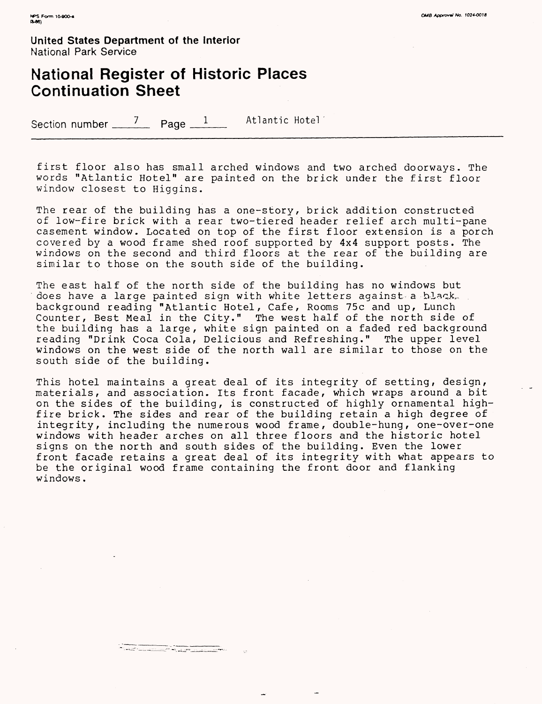**United States Department of the Interior** National Park Service

### **National Register of Historic Places Continuation Sheet**

Section number  $\frac{7}{2}$  Page  $\frac{1}{2}$  Atlantic Hotel

first floor also has small arched windows and two arched doorways. The words "Atlantic Hotel" are painted on the brick under the first floor window closest to Higgins.

The rear of the building has a one-story, brick addition constructed of low-fire brick with a rear two-tiered header relief arch multi-pane casement window. Located on top of the first floor extension is a porch covered by a wood frame shed roof supported by 4x4 support posts. The windows on the second and third floors at the rear of the building are similar to those on the south side of the building.

The east half of the north side of the building has no windows but does have a large painted sign with white letters against a hlack. background reading "Atlantic Hotel, Cafe, Rooms 75c and up, Lunch Counter, Best Meal in the City." The west half of the north side of the building has a large, white sign painted on a faded red background reading "Drink Coca Cola, Delicious and Refreshing." The upper level windows on the west side of the north wall are similar to those on the south side of the building.

This hotel maintains a great deal of its integrity of setting, design, materials, and association. Its front facade, which wraps around a bit on the sides of the building, is constructed of highly ornamental highfire brick. The sides and rear of the building retain a high degree of integrity, including the numerous wood frame, double-hung, one-over-one windows with header arches on all three floors and the historic hotel signs on the north and south sides of the building. Even the lower front facade retains a great deal of its integrity with what appears to be the original wood frame containing the front door and flanking windows.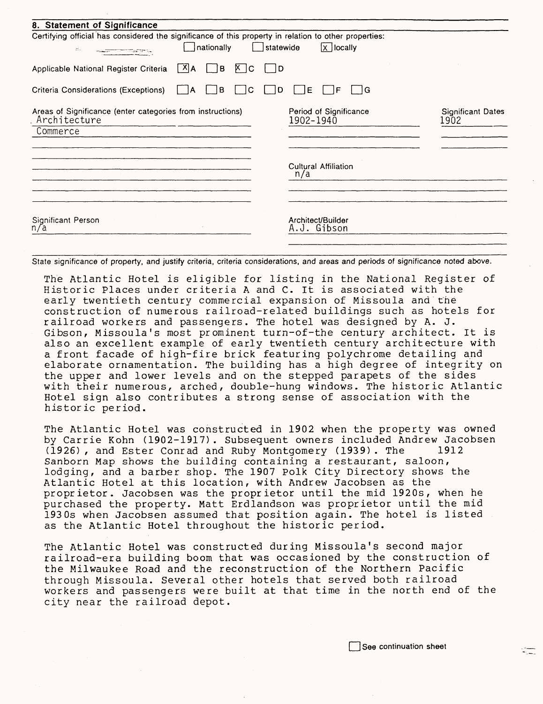| 8. Statement of Significance                                                                                               |                                             |                          |
|----------------------------------------------------------------------------------------------------------------------------|---------------------------------------------|--------------------------|
| Certifying official has considered the significance of this property in relation to other properties:<br>nationally<br>zi: | $\overline{X}$ locally<br>Statewide         |                          |
| $ X $ A<br>Applicable National Register Criteria<br>∫B                                                                     | 1D<br>∣X ∣C                                 |                          |
| Criteria Considerations (Exceptions)<br>l B<br>١A                                                                          | ١G<br>Ð<br>Ε<br>C<br>F                      |                          |
| Areas of Significance (enter categories from instructions)<br>Architecture<br>Commerce                                     | Period of Significance<br>1902-1940<br>1902 | <b>Significant Dates</b> |
|                                                                                                                            | <b>Cultural Affiliation</b><br>n/a          |                          |
| Significant Person<br>n/a                                                                                                  | Architect/Builder<br>A.J. Gibson            |                          |

State significance of property, and justify criteria, criteria considerations, and areas and periods of significance noted above.

The Atlantic Hotel is eligible for listing in the National Register of Historic Places under criteria A and C. It is associated with the early twentieth century commercial expansion of Missoula and the construction of numerous railroad-related buildings such as hotels for railroad workers and passengers. The hotel was designed by A. J. Gibson, Missoula's most prominent turn-of-the century architect. It is also an excellent example of early twentieth century architecture with a front facade of high-fire brick featuring polychrome detailing and elaborate ornamentation. The building has a high degree of integrity on the upper and lower levels and on the stepped parapets of the sides with their numerous, arched, double-hung windows. The historic Atlantic Hotel sign also contributes a strong sense of association with the historic period.

The Atlantic Hotel was constructed in 1902 when the property was owned by Carrie Kohn (1902-1917) . Subsequent owners included Andrew Jacobsen (1926) , and Ester Conrad and Ruby Montgomery (1939) . The 1912 Sanborn Map shows the building containing a restaurant, saloon, lodging, and a barber shop. The 1907 Polk City Directory shows the Atlantic Hotel at this location, with Andrew Jacobsen as the proprietor. Jacobsen was the proprietor until the mid 1920s, when he purchased the property. Matt Erdlandson was proprietor until the mid 1930s when Jacobsen assumed that position again. The hotel is listed as the Atlantic Hotel throughout the historic period.

The Atlantic Hotel was constructed during Missoula's second major railroad-era building boom that was occasioned by the construction of the Milwaukee Road and the reconstruction of the Northern Pacific through Missoula. Several other hotels that served both railroad workers and passengers were built at that time in the north end of the city near the railroad depot.

See continuation sheet